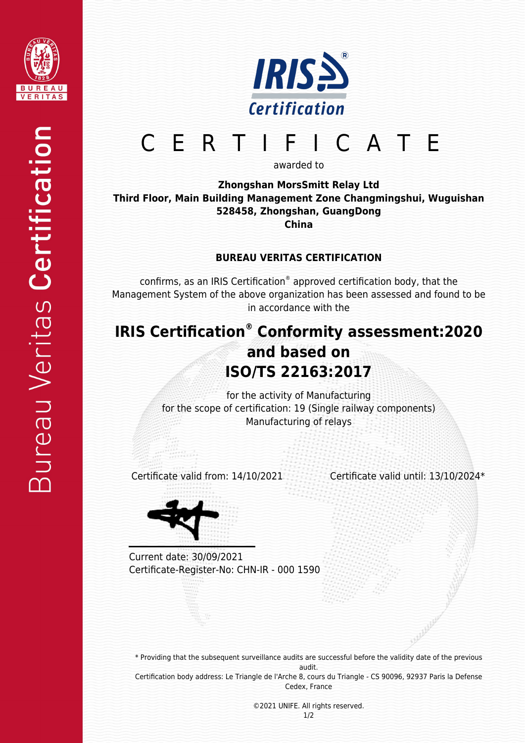



# CERTIFICATE

awarded to

**Zhongshan MorsSmitt Relay Ltd Third Floor, Main Building Management Zone Changmingshui, Wuguishan 528458, Zhongshan, GuangDong China**

#### **BUREAU VERITAS CERTIFICATION**

confirms, as an IRIS Certification® approved certification body, that the Management System of the above organization has been assessed and found to be in accordance with the

## **IRIS Certification® Conformity assessment:2020 and based on ISO/TS 22163:2017**

for the activity of Manufacturing for the scope of certification: 19 (Single railway components) Manufacturing of relays

Certificate valid from: 14/10/2021 Certificate valid until: 13/10/2024\*



Current date: 30/09/2021 Certificate-Register-No: CHN-IR - 000 1590

\* Providing that the subsequent surveillance audits are successful before the validity date of the previous audit. Certification body address: Le Triangle de l'Arche 8, cours du Triangle - CS 90096, 92937 Paris la Defense Cedex, France

> ©2021 UNIFE. All rights reserved. 1/2